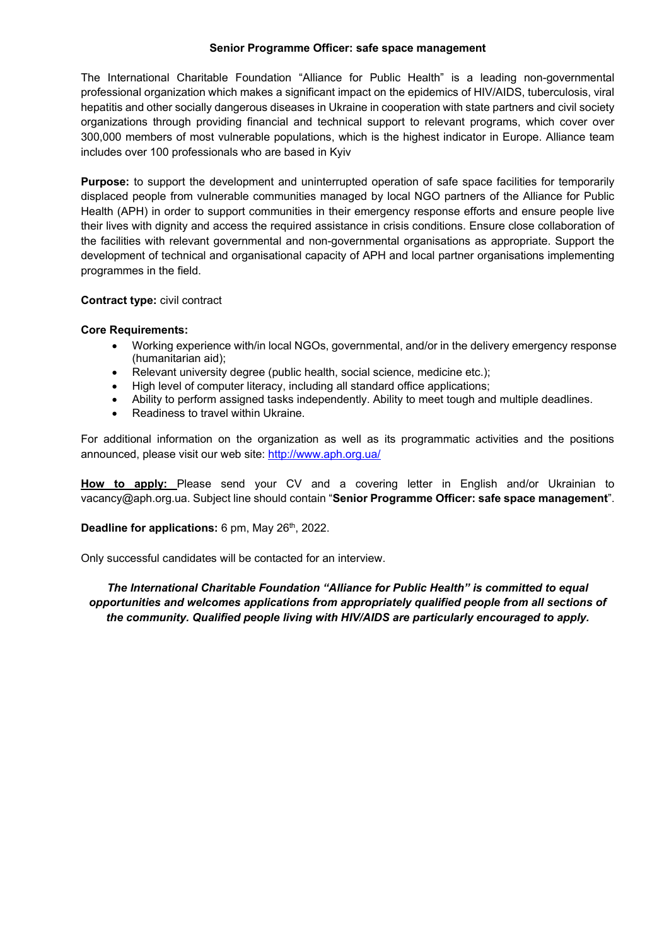#### **Senior Programme Officer: safe space management**

The International Charitable Foundation "Alliance for Public Health" is a leading non-governmental professional organization which makes a significant impact on the epidemics of HIV/AIDS, tuberculosis, viral hepatitis and other socially dangerous diseases in Ukraine in cooperation with state partners and civil society organizations through providing financial and technical support to relevant programs, which cover over 300,000 members of most vulnerable populations, which is the highest indicator in Europe. Alliance team includes over 100 professionals who are based in Kyiv

**Purpose:** to support the development and uninterrupted operation of safe space facilities for temporarily displaced people from vulnerable communities managed by local NGO partners of the Alliance for Public Health (APH) in order to support communities in their emergency response efforts and ensure people live their lives with dignity and access the required assistance in crisis conditions. Ensure close collaboration of the facilities with relevant governmental and non-governmental organisations as appropriate. Support the development of technical and organisational capacity of APH and local partner organisations implementing programmes in the field.

## **Contract type:** civil contract

#### **Core Requirements:**

- Working experience with/in local NGOs, governmental, and/or in the delivery emergency response (humanitarian aid);
- Relevant university degree (public health, social science, medicine etc.);
- High level of computer literacy, including all standard office applications;
- Ability to perform assigned tasks independently. Ability to meet tough and multiple deadlines.
- Readiness to travel within Ukraine.

For additional information on the organization as well as its programmatic activities and the positions announced, please visit our web site: http://www.aph.org.ua/

**How to apply:** Please send your CV and a covering letter in English and/or Ukrainian to vacancy@aph.org.ua. Subject line should contain "**Senior Programme Officer: safe space management**".

## **Deadline for applications:** 6 pm, May 26<sup>th</sup>, 2022.

Only successful candidates will be contacted for an interview.

*The International Charitable Foundation "Alliance for Public Health" is committed to equal opportunities and welcomes applications from appropriately qualified people from all sections of the community. Qualified people living with HIV/AIDS are particularly encouraged to apply.*